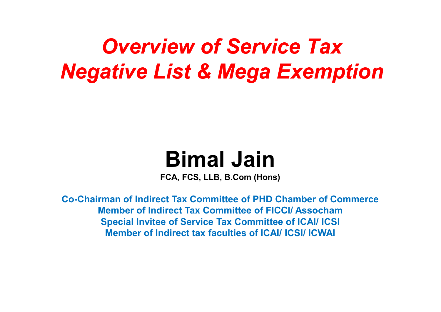## *Overview of Service TaxNegative List & Mega Exemption*

## **Bimal Jain**

**FCA, FCS, LLB, B.Com (Hons)**

**Co-Chairman of Indirect Tax Committee of PHD Chamber of CommerceMember of Indirect Tax Committee of FICCI/ Assocham Special Invitee of Service Tax Committee of ICAI/ ICSIMember of Indirect tax faculties of ICAI/ ICSI/ ICWAI**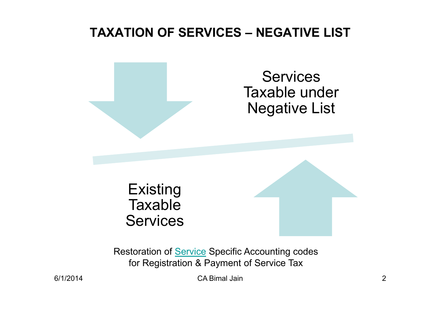#### **TAXATION OF SERVICES – NEGATIVE LIST**



Restoration of **Service** Specific Accounting codes for Registration & Payment of Service Tax

CA Bimal Jain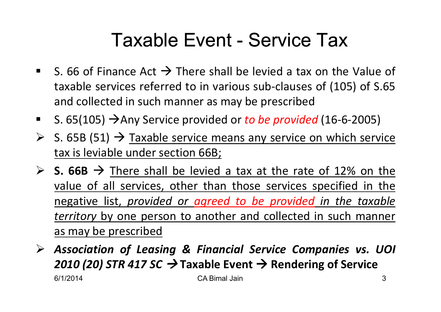## Taxable Event - Service Tax

- S. 66 of Finance Act  $\rightarrow$  There shall be levied a tax on the Value of<br>taxable services referred to in various sub-clauses of (105) of S 65 taxable services referred to in various sub-clauses of (105) of S.65and collected in such manner as may be prescribed
- $\blacksquare$ ■ S. 65(105)  $\rightarrow$  Any Service provided or *to be provided* (16-6-2005)
- S. 65B (51)  $\rightarrow$  Taxable service means any service on which service<br>tax is leviable under section 66B: tax is leviable under section 66B;
- $\triangleright$  **S. 66B**  $\rightarrow$  There shall be levied a tax at the rate of 12% on the<br>
value of all services other than those services specified in the value of all services, other than those services specified in the negative list, *provided or agreed to be provided in the taxable territory* by one person to another and collected in such manner as may be prescribed
- $\triangleright$  *Association of Leasing & Financial Service Companies vs. UOI* **2010 (20) STR 417 SC → Taxable Event → Rendering of Service**<br>CA Bimal Jain 6/1/20144 CA Bimal Jain 3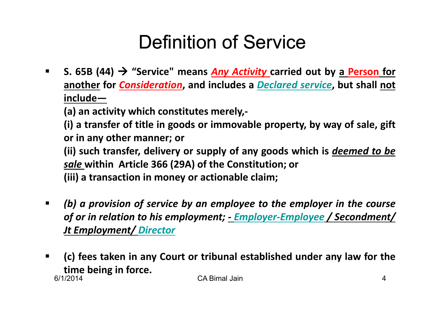## Definition of Service

 $\blacksquare$  **S. 65B (44)** - **"Service" means** *Any Activity* **carried out by <sup>a</sup> Person for another for** *Consideration***, and includes <sup>a</sup>** *Declared service***, but shall not include—**

**(a) an activity which constitutes merely,-**

(i) a transfer of title in goods or immovable property, by way of sale, gift **or in any other manner; or**

**(ii) such transfer, delivery or supply of any goods which is** *deemed to be sale* **within Article <sup>366</sup> (29A) of the Constitution; or**

**(iii) <sup>a</sup> transaction in money or actionable claim;**

- $\blacksquare$ (b) a provision of service by an employee to the employer in the course *of or in relation to his employment; - Employer-Employee / Secondment/ Jt Employment/ Director*
- 6/1/2014 CA Bimal Jain 4 $\blacksquare$ (c) fees taken in any Court or tribunal established under any law for the **time being in force.**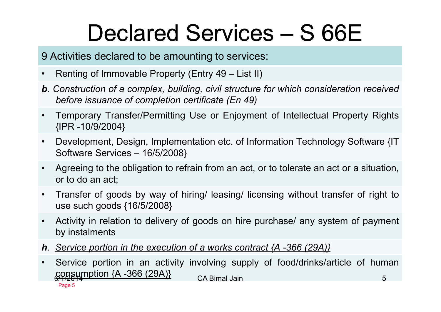# Declared Services – S 66E

<sup>9</sup> Activities declared to be amounting to services:

- •Renting of Immovable Property (Entry <sup>49</sup> – List II)
- b. Construction of a complex, building, civil structure for which consideration received *before issuance of completion certificate (En 49)*
- • Temporary Transfer/Permitting Use or Enjoyment of Intellectual Property Rights {IPR -10/9/2004}
- $\bullet$  Development, Design, Implementation etc. of Information Technology Software {IT Software Services – <sup>16</sup> /5/2008}
- • Agreeing to the obligation to refrain from an act, or to tolerate an act or <sup>a</sup> situation, or to do an act;
- • Transfer of goods by way of hiring/ leasing/ licensing without transfer of right to use such goods {16/5/2008}
- $\bullet$  Activity in relation to delivery of goods on hire purchase/ any system of payment by instalments
- **h**. Service portion in the execution of a works contract  $\{A 366 (29A)\}$
- Page 5• Service portion in an activity involving supply of food/drinks/article of human **consumption {A -366 (29A)} ca Bimal Jain** 5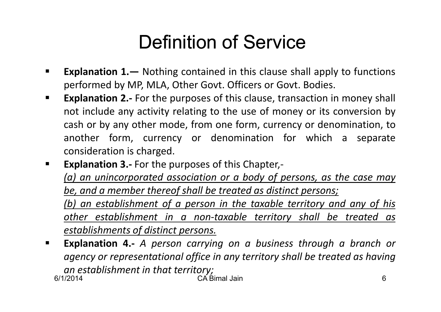## Definition of Service

- $\blacksquare$ **Explanation 1.—** Nothing contained in this clause shall apply to functions<br>**Explanation 1.—** Nothing contained in this clause shall apply to functions performed by MP, MLA, Other Govt. Officers or Govt. Bodies.
- $\blacksquare$  **Explanation 2.-** For the purposes of this clause, transaction in money shall not include any activity relating to the use of money or its conversion by cash or by any other mode, from one form, currency or denomination, to another form, currency or denomination for which <sup>a</sup> separate consideration is charged.
- $\blacksquare$ **Explanation 3.-** For the purposes of this Chapter,-

(a) an unincorporated association or a body of persons, as the case may *be, and <sup>a</sup> member thereof shall be treated as distinct persons;*

<u>(b) an establishment of a person in the taxable territory and any of his</u> *other establishment in <sup>a</sup> non-taxable territory shall be treated as establishments of distinct persons.*

6/1/2014 CA Bimal Jain 6 $\blacksquare$  **Explanation 4.-** *<sup>A</sup> person carrying on <sup>a</sup> business through <sup>a</sup> branch or* agency or representational office in any territory shall be treated as having *an establishment in that territory;*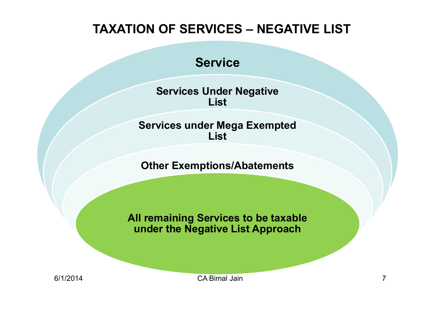#### **TAXATION OF SERVICES – NEGATIVE LIST**

#### **Service**

**Services Under Negative List**

**Services under Mega Exempted List**

**Other Exemptions/Abatements**

**All remaining Services to be taxable under the Negative List Approach**

6/1/2014

A CA Bimal Jain 7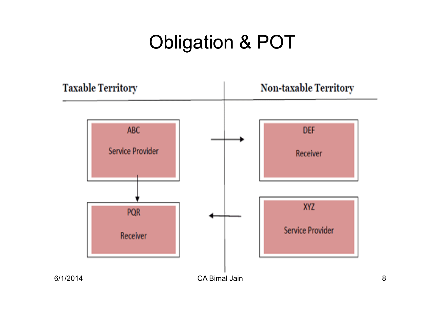## Obligation & POT

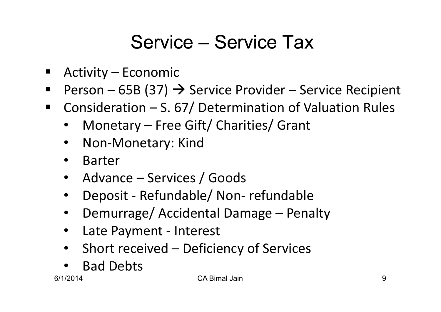## Service – Service Tax

- $\blacksquare$ Activity – Economic
- $\blacksquare$ Person – 65B (37)  $\rightarrow$  Service Provider – Service Recipient<br>References – S. 67/ Determination of Valuation Rules
- $\blacksquare$  Consideration – S. 67/ Determination of Valuation Rules
	- •Monetary – Free Gift/ Charities/ Grant
	- •Non-Monetary: Kind
	- $\bullet$ Barter
	- Advance Services / Goods
	- •Deposit - Refundable/ Non- refundable
	- •Demurrage/ Accidental Damage – Penalty
	- •Late Payment - Interest
	- •Short received – Deficiency of Services
	- •Bad Debts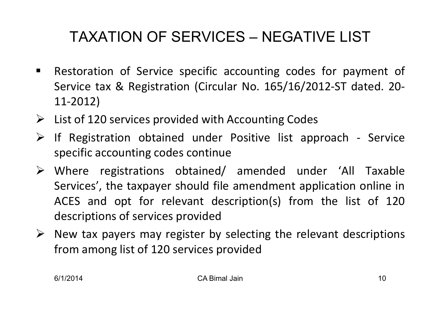### TAXATION OF SERVICES – NEGATIVE LIST

- $\blacksquare$  Restoration of Service specific accounting codes for payment of Service tax & Registration (Circular No. 165/16/2012-ST dated. 20- 11-2012)
- > List of 120 services provided with Accounting Codes
- If Registration obtained under Positive list approach Service specific accounting codes continue
- Where registrations obtained/ amended under 'All Taxable Services', the taxpayer should file amendment application online in ACES and opt for relevant description(s) from the list of <sup>120</sup>descriptions of services provided
- $\triangleright$  New tax payers may register by selecting the relevant descriptions from among list of <sup>120</sup> services provided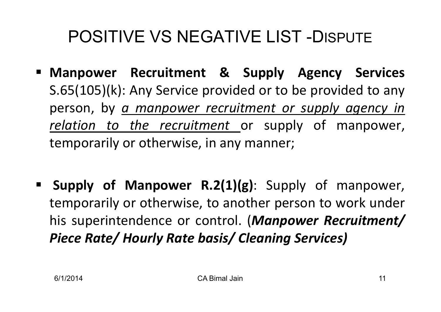## POSITIVE VS NEGATIVE LIST -DISPUTE

- **Manpower Recruitment & Supply Agency Services** S.65(105)(k): Any Service provided or to be provided to any person, by *<sup>a</sup> manpower recruitment or supply agency in relation to the recruitment* or supply of manpower, temporarily or otherwise, in any manner;
- **Supply of Manpower R.2(1)(g)**: Supply of manpower, temporarily or otherwise, to another person to work under his superintendence or control. (*Manpower Recruitment/ Piece Rate/ Hourly Rate basis/ Cleaning Services)*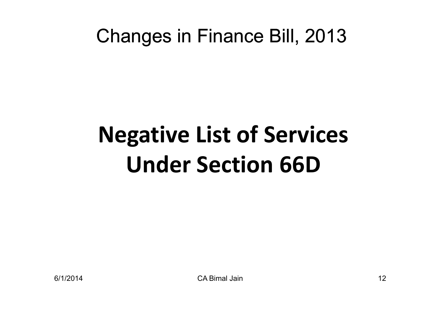## Changes in Finance Bill, 2013

# **Negative List of ServicesUnder Section 66D**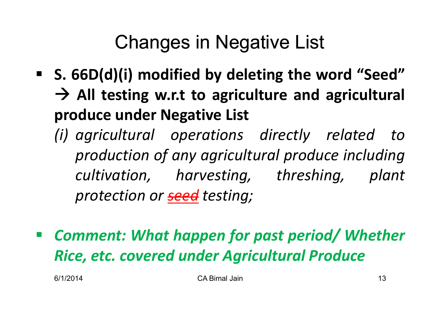## Changes in Negative List

- **S. 66D(d)(i) modified by deleting the word "Seed"** - **All testing w.r.t to agriculture and agricultural produce under Negative List**
	- *(i) agricultural operations directly related to production of any agricultural produce including cultivation, harvesting, threshing, plant protection or seed testing;*
- $\mathcal{L}^{\mathcal{L}}$  *Comment: What happen for past period/ Whether Rice, etc. covered under Agricultural Produce*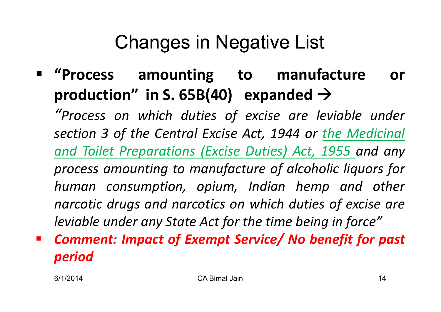## Changes in Negative List

#### $\blacksquare$  **"Process amounting to manufacture or production"** in S. 65B(40)  $\epsilon$  expanded  $\rightarrow$

*"Process on which duties of excise are leviable under section <sup>3</sup> of the Central Excise Act, <sup>1944</sup> or the Medicinal and Toilet Preparations (Excise Duties) Act, <sup>1955</sup> and any process amounting to manufacture of alcoholic liquors for human consumption, opium, Indian hemp and other narcotic drugs and narcotics on which duties of excise are leviable under any State Act for the time being in force"*

 *Comment: Impact of Exempt Service/ No benefit for past period*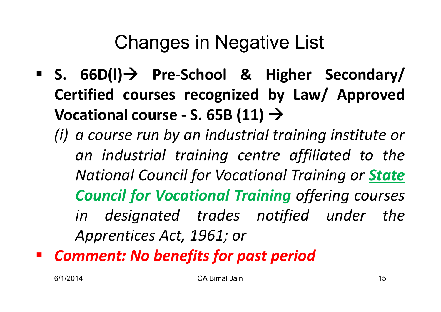## Changes in Negative List

- **S. 66D(l) Pre-School & Higher Secondary/ Certified courses recognized by Law/ Approved** $\blacktriangleright$  **Vocational course** - **S.** 65B (11)  $\rightarrow$ 
	- *(i) <sup>a</sup> course run by an industrial training institute or an industrial training centre affiliated to the National Council for Vocational Training or State Council for Vocational Training offering courses in designated trades notified under the Apprentices Act, 1961; or*
- *Comment: No benefits for past period*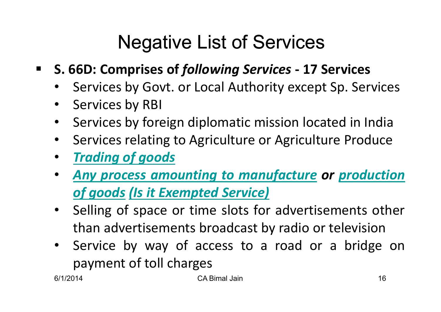## Negative List of Services

- $\blacksquare$  **S. 66D: Comprises of** *following Services* **- <sup>17</sup> Services**
	- $\bullet$ Services by Govt. or Local Authority except Sp. Services
	- $\bullet$ Services by RBI
	- $\bullet$ Services by foreign diplomatic mission located in India
	- •Services relating to Agriculture or Agriculture Produce
	- $\bullet$ *Trading of goods*
	- $\bullet$  *Any process amounting to manufacture or productionof goods (Is it Exempted Service)*
	- $\bullet$  Selling of space or time slots for advertisements other than advertisements broadcast by radio or television
	- Service by way of access to a road or a bridge on  $\bullet$ payment of toll charges<br>014

6/1/2014

A CA Bimal Jain 16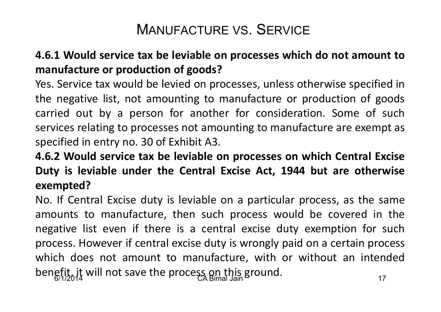### <sup>M</sup>ANUFACTURE VS. SERVICE

#### 4.6.1 Would service tax be leviable on processes which do not amount to **manufacture or production of goods?**

Yes. Service tax would be levied on processes, unless otherwise specified in the negative list, not amounting to manufacture or production of goods carried out by <sup>a</sup> person for another for consideration. Some of such services relating to processes not amounting to manufacture are exempt as specified in entry no. <sup>30</sup> of Exhibit A3.

#### **4.6.2 Would service tax be leviable on processes on which Central Excise** Duty is leviable under the Central Excise Act, 1944 but are otherwise **exempted?**

benefit, it will not save the process on this ground.<br><sup>17</sup> <sup>6/1/2014</sup> No. If Central Excise duty is leviable on <sup>a</sup> particular process, as the same amounts to manufacture, then such process would be covered in the negative list even if there is <sup>a</sup> central excise duty exemption for such process. However if central excise duty is wrongly paid on <sup>a</sup> certain process which does not amount to manufacture, with or without an intended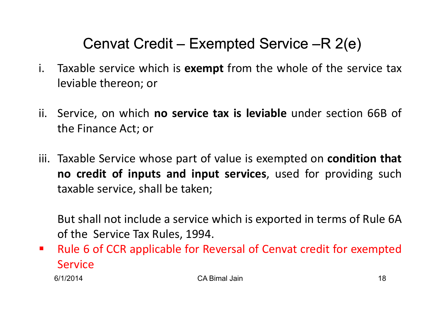### Cenvat Credit – Exempted Service –R 2(e)

- i. Taxable service which is **exempt** from the whole of the service tax leviable thereon; or
- ii. Service, on which **no service tax is leviable** under section 66B of the Finance Act; or
- iii. Taxable Service whose part of value is exempted on **condition that no credit of inputs and input services**, used for providing suchtaxable service, shall be taken;

But shall not include <sup>a</sup> service which is exported in terms of Rule 6Aof the Service Tax Rules, 1994.

 $\mathcal{L}_{\mathcal{A}}$  Rule <sup>6</sup> of CCR applicable for Reversal of Cenvat credit for exempted**Service** 

6/1/2014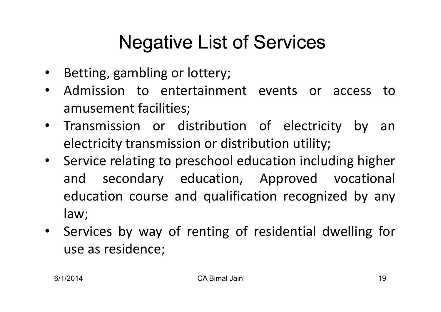## Negative List of Services

- $\bullet$ Betting, gambling or lottery;
- • Admission to entertainment events or access toamusement facilities;
- $\bullet$  Transmission or distribution of electricity by anelectricity transmission or distribution utility;
- $\bullet$ **•** Service relating to preschool education including higher and secondary education, Approved vocational education course and qualification recognized by any law;
- • Services by way of renting of residential dwelling for use as residence;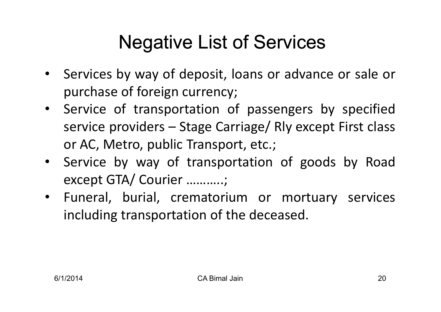## Negative List of Services

- Services by way of deposit, loans or advance or sale or purchase of foreign currency;
- $\bullet$  Service of transportation of passengers by specified service providers – Stage Carriage/ Rly except First class or AC, Metro, public Transport, etc.;
- Service by way of transportation of goods by Road except GTA/ Courier ………..;
- Funeral, burial, crematorium or mortuary services including transportation of the deceased.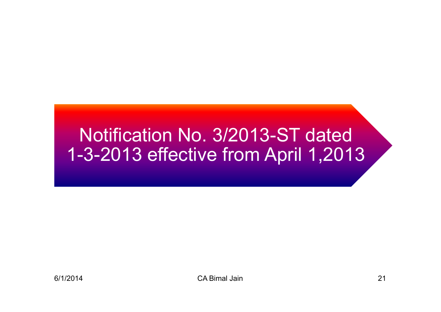#### Notification No. 3/2013-ST dated 1-3-2013 effective from April 1.201 3-2013 effective from April 1,2013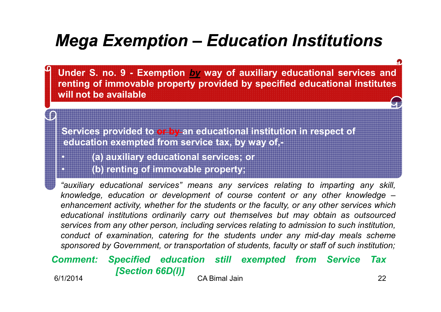### *Mega Exemption – Education Institutions*

Under S. no. 9 - Exemption by way of auxiliary educational services and **renting of immovable property provided by specified educational institutes will not be available**

**Services provided to or by an educational institution in respect of education exempted from service tax, by way of,-**

**(a) auxiliary educational services; or**

**(b) renting of immovable property;**

"auxiliary educational services" means any services relating to imparting any skill. knowledge, education or development of course content or any other knowledge enhancement activity, whether for the students or the faculty, or any other services which educational institutions ordinarily carry out themselves but may obtain as outsourced services from any other person, including services relating to admission to such institution. conduct of examination, catering for the students under any mid-day meals scheme sponsored by Government, or transportation of students, faculty or staff of such institution;

#### 6/1/2014 **CA Bimal Jain** CA Bimal Jain 22 *Comment: Specified education still exempted from Service Tax [Section 66D(l)]*

•

•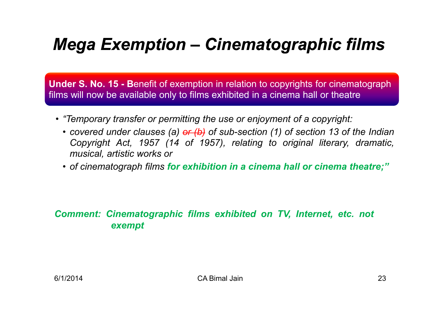### *Mega Exemption – Cinematographic films*

**Under S. No. 15 - Benefit of exemption in relation to copyrights for cinematograph** films will now be available only to films exhibited in a cinema hall or theatre

- *"Temporary transfer or permitting the use or enjoyment of a copyright:*
	- covered under clauses (a)  $\frac{df}{dx}(b)$  of sub-section (1) of section 13 of the Indian<br>Convright, Act., 1957, (14, ef., 1957), relating to original, literary, dramatio *Copyright Act, <sup>1957</sup> (14 of 1957), relating to original literary, dramatic, musical, artistic works or*
	- of cinematograph films <mark>for exhibition in a cinema hall or cinema theatre;</mark>"

#### *Comment: Cinematographic films exhibited on TV, Internet, etc. not exempt*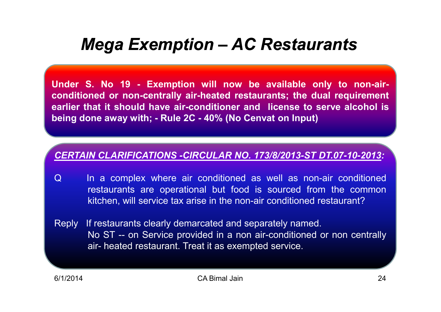### *Mega Exemption – AC Restaurants*

Under S. No 19 - Exemption will now be available only to non-air**conditioned or non-centrally air-heated restaurants; the dual requirement** earlier that it should have air-conditioner and license to serve alcohol is being done away with; - Rule 2C - 40% (No Cenvat on Input)

#### *CERTAIN CLARIFICATIONS -CIRCULAR NO. 173/8/2013-ST DT.07-10-2013:*

- Q In a complex where air conditioned as well as non-air conditioned restaurants are operational but food is sourced from the common kitchen, will service tax arise in the non-air conditioned restaurant?
- Reply If restaurants clearly demarcated and separately named. No ST -- on Service provided in <sup>a</sup> non air-conditioned or non centrally air- heated restaurant. Treat it as exempted service.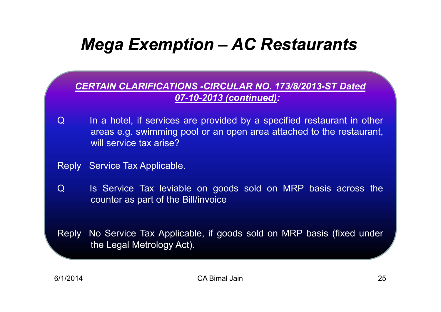### *Mega Exemption – AC Restaurants*

*CERTAIN CLARIFICATIONS -CIRCULAR NO. 173/8/2013-ST Dated 07-10-2013 (continued):* 

- <sup>Q</sup> In <sup>a</sup> hotel, if services are provided by <sup>a</sup> specified restaurant in other areas e.g. swimming pool or an open area attached to the restaurant, will service tax arise?
- Reply Service Tax Applicable.
- Q Is Service Tax leviable on goods sold on MRP basis across the counter as part of the Bill/invoice
- Reply No Service Tax Applicable, if goods sold on MRP basis (fixed under the Legal Metrology Act).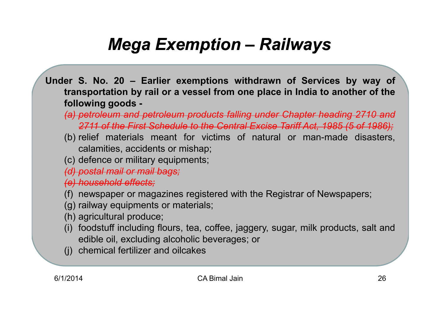### *Mega Exemption – Railways*

- Under S. No. 20 Earlier exemptions withdrawn of Services by way of transportation by rail or a vessel from one place in India to another of the **following goods -**
	- *(a) petroleum and petroleum products falling under Chapter heading <sup>2710</sup> and 2711 of the First Schedule to the Central Excise Tariff Act, <sup>1985</sup> (5 of 1986);*
	- (b) relief materials meant for victims of natural or man-made disasters, calamities, accidents or mishap;
	- (c) defence or military equipments;

*(d) postal mail or mail bags;*

*(e) household effects;*

- (f) newspaper or magazines registered with the Registrar of Newspapers;
- (g) railway equipments or materials;
- (h) agricultural produce;
- (i) foodstuff including flours, tea, coffee, jaggery, sugar, milk products, salt and edible oil, excluding alcoholic beverages; or
- (j) chemical fertilizer and oilcakes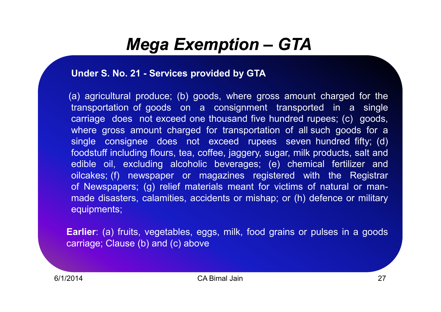### *Mega Exemption – GTA*

#### **Under S. No. <sup>21</sup> - Services provided by GTA**

(a) agricultural produce; (b) goods, where gross amount charged for the transportation of goods on <sup>a</sup> consignment transported in <sup>a</sup> single carriage does not exceed one thousand five hundred rupees; (c) goods, where gross amount charged for transportation of all such goods for <sup>a</sup> single consignee does not exceed rupees seven hundred fifty; (d) foodstuff including flours, tea, coffee, jaggery, sugar, milk products, salt and edible oil, excluding alcoholic beverages; (e) chemical fertilizer and oilcakes; (f) newspaper or magazines registered with the Registrar of Newspapers; (g) relief materials meant for victims of natural or manmade disasters, calamities, accidents or mishap; or (h) defence or military equipments;

Earlier: (a) fruits, vegetables, eggs, milk, food grains or pulses in a goods<br>saminary Clause (b) and (s) shave carriage; Clause (b) and (c) above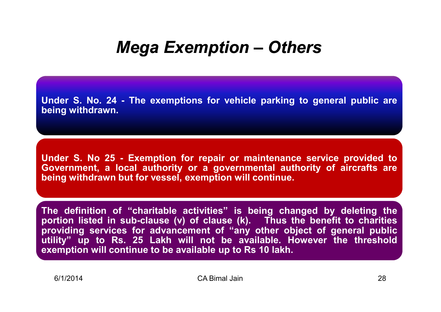### *Mega Exemption – Others*

Under S. No. 24 - The exemptions for vehicle parking to general public are **being withdrawn.**

**Under S. No <sup>25</sup> - Exemption for repair or maintenance service provided to Government, <sup>a</sup> local authority or <sup>a</sup> governmental authority of aircrafts are being withdrawn but for vessel, exemption will continue.**

**The definition of "charitable activities" is being changed by deleting the** portion listed in sub-clause (v) of clause (k). Thus the benefit to charities **providing services for advancement of "any other object of general public** utility" up to Rs. 25 Lakh will not be available. However the threshold **exemption will continue to be available up to Rs <sup>10</sup> lakh.**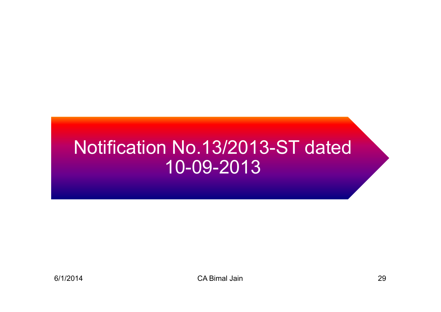## Notification No.13/2013-ST dated 10-09-2013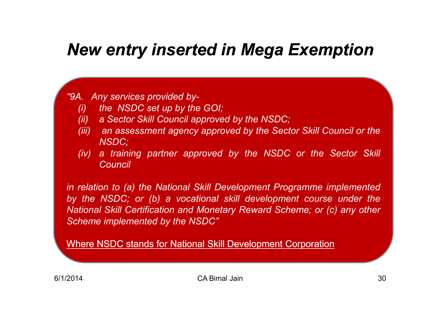### *New entry inserted in Mega Exemption*

### *"9A. Any services provided by-*

- *(i) the NSDC set up by the GOI;*
- *(ii) <sup>a</sup> Sector Skill Council approved by the NSDC;*
- (iii) an assessment agency approved by the Sector Skill Council or the *NSDC;*
- *(iv)a training partner approved by the NSDC or the Sector Skill Council*

*in relation to (a) the National Skill Development Programme implemented* by the NSDC; or (b) a vocational skill development course under the *National Skill Certification and Monetary Reward Scheme; or (c) any other Scheme implemented by the NSDC"*

Where NSDC stands for National Skill Development Corporation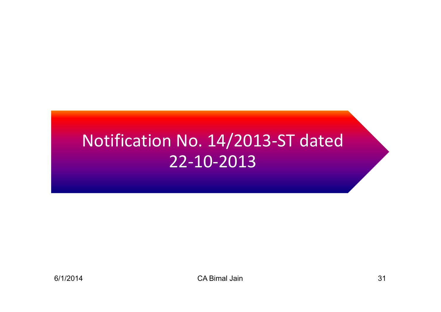### Notification No. 14/2013-ST dated 22-10-2013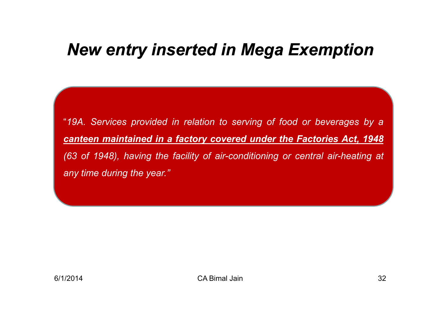### *New entry inserted in Mega Exemption*

"19A. Services provided in relation to serving of food or beverages by a *canteen maintained in <sup>a</sup> factory covered under the Factories Act, <sup>1948</sup> (63 of 1948), having the facility of air-conditioning or central air-heating at any time during the year."*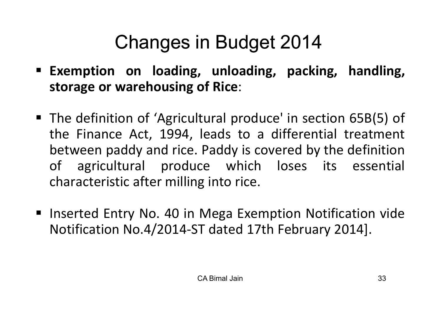## Changes in Budget 2014

- **Exemption on loading, unloading, packing, handling, storage or warehousing of Rice**:
- The definition of 'Agricultural produce' in section 65B(5) of the Finance Act, 1994, leads to <sup>a</sup> differential treatment between paddy and rice. Paddy is covered by the definition of agricultural produce which loses its essential characteristic after milling into rice.
- Inserted Entry No. 40 in Mega Exemption Notification vide Notification No.4/2014-ST dated 17th February 2014].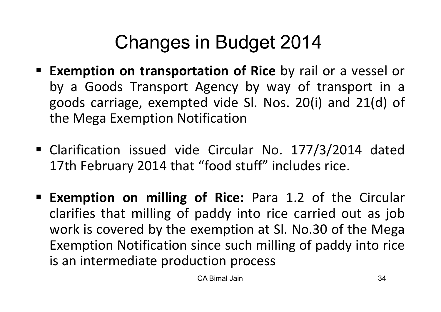## Changes in Budget 2014

- **Exemption on transportation of Rice** by rail or a vessel or by <sup>a</sup> Goods Transport Agency by way of transport in <sup>a</sup> goods carriage, exempted vide Sl. Nos. 20(i) and 21(d) of the Mega Exemption Notification
- Clarification issued vide Circular No. 177/3/2014 dated 17th February <sup>2014</sup> that "food stuff" includes rice.
- **Exemption on milling of Rice:** Para 1.2 of the Circular clarifies that milling of paddy into rice carried out as job work is covered by the exemption at Sl. No.30 of the Mega Exemption Notification since such milling of paddy into rice is an intermediate production process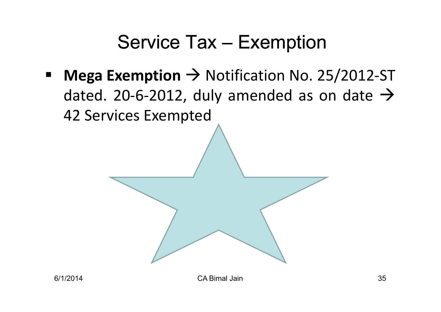## Service Tax – Exemption

 $\blacksquare$ ■ **Mega Exemption** → Notification No. 25/2012-ST<br>
dated 20-6-2012 duly amended as on date → dated. 20-6-2012, duly amended as on date  $\rightarrow$ <sup>42</sup> Services Exempted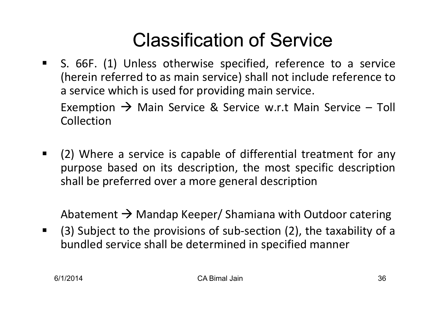## Classification of Service

 S. 66F. (1) Unless otherwise specified, reference to <sup>a</sup> service (herein referred to as main service) shall not include reference to<sup>a</sup> service which is used for providing main service.

Exemption  $\rightarrow$  Main Service & Service w.r.t Main Service – Toll<br>Collection **Collection** 

 $\blacksquare$ **(2)** Where a service is capable of differential treatment for any purpose based on its description, the most specific descriptionshall be preferred over <sup>a</sup> more general description

Abatement  $\rightarrow$  Mandap Keeper/ Shamiana with Outdoor catering<br>(2) Subject to the provisions of sub-section (2), the toyobility of

 $(3)$  Subject to the provisions of sub-section (2), the taxability of a bundled service shall be determined in specified manner